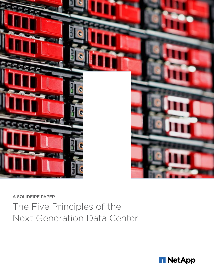

A SOLIDFIRE PAPER

The Five Principles of the Next Generation Data Center

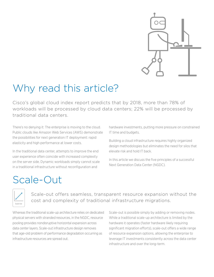

#### Why read this article?

Cisco's global cloud index report predicts that by 2018, more than 78% of workloads will be processed by cloud data centers; 22% will be processed by traditional data centers.

There's no denying it: The enterprise is moving to the cloud. Public clouds like Amazon Web Services (AWS) demonstrate the possibilities for next generation IT deployment: rapid elasticity and high performance at lower costs.

In the traditional data center, attempts to improve the end user experience often coincide with increased complexity on the server side. Dynamic workloads simply cannot scale in a traditional infrastructure without reconfiguration and

hardware investments, putting more pressure on constrained IT time and budgets.

Building a cloud infrastructure requires highly organized design methodologies but eliminates the need for silos that elevate risk and hold IT back.

In this article we discuss the five principles of a successful Next Generation Data Center (NGDC).

### Scale-Out



Scale-out offers seamless, transparent resource expansion without the cost and complexity of traditional infrastructure migrations.

Whereas the traditional scale-up architecture relies on dedicated physical servers with stranded resources, in the NGDC, resource pooling provides nondisruptive horizontal expansion across data center layers. Scale-out infrastructure design removes that age-old problem of performance degradation occurring as infrastructure resources are spread out.

Scale-out is possible simply by adding or removing nodes. While a traditional scale-up architecture is limited by the hardware it operates (faster hardware likely requiring significant migration efforts), scale-out offers a wide range of resource expansion options, allowing the enterprise to leverage IT investments consistently across the data center infrastructure and over the long-term.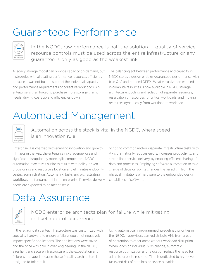### Guaranteed Performance

| ww.                       |
|---------------------------|
| <b>IOPS</b>               |
| Guaranteed<br>Performance |

In the NGDC, raw performance is half the solution — quality of service resource controls must be used across the entire infrastructure or any guarantee is only as good as the weakest link.

A legacy storage model can provide capacity on-demand, but it struggles with allocating performance resources efficiently because it was not built to support the individual capacity and performance requirements of collective workloads. An enterprise is then forced to purchase more storage than it needs, driving costs up and efficiencies down.

The balancing act between performance and capacity in NGDC storage design enables guaranteed performance with true QoS and reduced OPEX. What virtualization enabled in compute resources is now available in NGDC storage architecture: pooling and isolation of separate resources, reservation of resources for critical workloads, and moving resources dynamically from workload to workload.

## Automated Management



Automation across the stack is vital in the NGDC, where speed is an innovation rule.

Enterprise IT is charged with enabling innovation and growth. If IT gets in the way, the enterprise risks revenue loss and significant disruption by more agile competitors. NGDC automation maximizes business results with policy-driven provisioning and resource allocation and eliminates endpointcentric administration. Automating tasks and orchestrating workflows are fundamental in the enterprise if service delivery needs are expected to be met at scale.

Scripting common and/or disparate infrastructure tasks with APIs dramatically reduces errors, increases productivity, and streamlines service delivery by enabling efficient sharing of data and processes. Employing software automation to take charge of decision points changes the paradigm from the physical limitations of hardware to the unbounded design capabilities of software.

#### Data Assurance



#### NGDC enterprise architects plan for failure while mitigating its likelihood of occurrence.

In the legacy data center, infrastructure was customized with speciality hardware to ensure a failure would not negatively impact specific applications. The applications were saved and the price was paid in over-engineering. In the NGDC, a resilient and secure infrastructure is the expectation and failure is managed because the self-healing architecture is designed to tolerate it.

Using automatically programmed, predefined priorities in the NGDC, hypervisors can redistribute VMs from areas of contention to other areas without workload disruption. When loads on individual VMs change, automatic resource optimization and relocation reduce the need for administrators to respond. Time is dedicated to high-level tasks and risk of data loss or sevice is avoided.